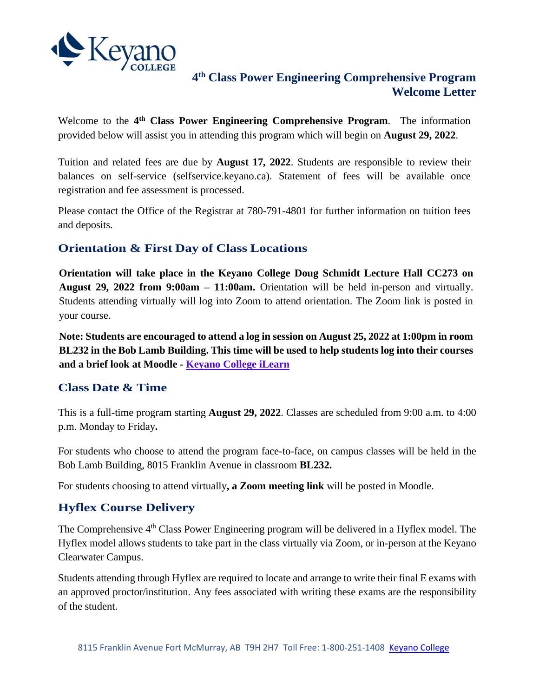

## **4 th Class Power Engineering Comprehensive Program Welcome Letter**

Welcome to the **4 th Class Power Engineering Comprehensive Program**. The information provided below will assist you in attending this program which will begin on **August 29, 2022**.

Tuition and related fees are due by **August 17, 2022**. Students are responsible to review their balances on self-service (selfservice.keyano.ca). Statement of fees will be available once registration and fee assessment is processed.

Please contact the Office of the Registrar at 780-791-4801 for further information on tuition fees and deposits.

# **Orientation & First Day of Class Locations**

**Orientation will take place in the Keyano College Doug Schmidt Lecture Hall CC273 on August 29, 2022 from 9:00am – 11:00am.** Orientation will be held in-person and virtually. Students attending virtually will log into Zoom to attend orientation. The Zoom link is posted in your course.

**Note: Students are encouraged to attend a log in session on August 25, 2022 at 1:00pm in room BL232 in the Bob Lamb Building. This time will be used to help students log into their courses and a brief look at Moodle - [Keyano College iLearn](https://ilearn.keyano.ca/)**

## **Class Date & Time**

This is a full-time program starting **August 29, 2022**. Classes are scheduled from 9:00 a.m. to 4:00 p.m. Monday to Friday**.**

For students who choose to attend the program face-to-face, on campus classes will be held in the Bob Lamb Building, 8015 Franklin Avenue in classroom **BL232.**

For students choosing to attend virtually**, a Zoom meeting link** will be posted in Moodle.

## **Hyflex Course Delivery**

The Comprehensive 4<sup>th</sup> Class Power Engineering program will be delivered in a Hyflex model. The Hyflex model allows students to take part in the class virtually via Zoom, or in-person at the Keyano Clearwater Campus.

Students attending through Hyflex are required to locate and arrange to write their final E exams with an approved proctor/institution. Any fees associated with writing these exams are the responsibility of the student.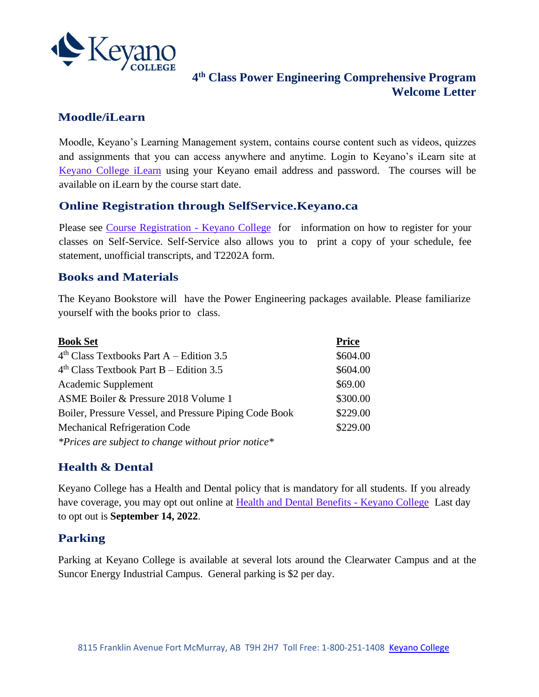

# **4 th Class Power Engineering Comprehensive Program Welcome Letter**

## **Moodle/iLearn**

Moodle, Keyano's Learning Management system, contains course content such as videos, quizzes and assignments that you can access anywhere and anytime. Login to Keyano's iLearn site at [Keyano College iLearn](https://ilearn.keyano.ca/) using your Keyano email address and password. The courses will be available on iLearn by the course start date.

#### **Online Registration through SelfService.Keyano.ca**

Please see [Course Registration -](https://www.keyano.ca/en/programs-and-courses/course-registration.aspx) Keyano College for information on how to register for your classes on Self-Service. Self-Service also allows you to print a copy of your schedule, fee statement, unofficial transcripts, and T2202A form.

## **Books and Materials**

The Keyano Bookstore will have the Power Engineering packages available. Please familiarize yourself with the books prior to class.

| <b>Book Set</b>                                        | <b>Price</b> |
|--------------------------------------------------------|--------------|
| $4th Class Textbooks Part A - Edition 3.5$             | \$604.00     |
| $4th Class Textbook Part B - Edition 3.5$              | \$604.00     |
| Academic Supplement                                    | \$69.00      |
| ASME Boiler & Pressure 2018 Volume 1                   | \$300.00     |
| Boiler, Pressure Vessel, and Pressure Piping Code Book | \$229.00     |
| <b>Mechanical Refrigeration Code</b>                   | \$229.00     |
| *Prices are subject to change without prior notice*    |              |

## **Health & Dental**

Keyano College has a Health and Dental policy that is mandatory for all students. If you already have coverage, you may opt out online at [Health and Dental Benefits -](https://www.keyano.ca/en/student-services/health-and-dental-benefits.aspx) Keyano College Last day to opt out is **September 14, 2022**.

## **Parking**

Parking at Keyano College is available at several lots around the Clearwater Campus and at the Suncor Energy Industrial Campus. General parking is \$2 per day.